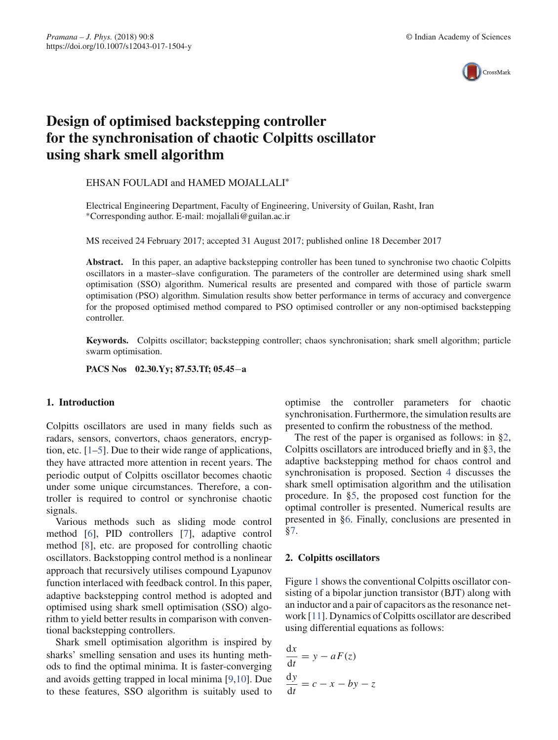

# **Design of optimised backstepping controller for the synchronisation of chaotic Colpitts oscillator using shark smell algorithm**

EHSAN FOULADI and HAMED MOJALLALI∗

Electrical Engineering Department, Faculty of Engineering, University of Guilan, Rasht, Iran ∗Corresponding author. E-mail: mojallali@guilan.ac.ir

MS received 24 February 2017; accepted 31 August 2017; published online 18 December 2017

**Abstract.** In this paper, an adaptive backstepping controller has been tuned to synchronise two chaotic Colpitts oscillators in a master–slave configuration. The parameters of the controller are determined using shark smell optimisation (SSO) algorithm. Numerical results are presented and compared with those of particle swarm optimisation (PSO) algorithm. Simulation results show better performance in terms of accuracy and convergence for the proposed optimised method compared to PSO optimised controller or any non-optimised backstepping controller.

**Keywords.** Colpitts oscillator; backstepping controller; chaos synchronisation; shark smell algorithm; particle swarm optimisation.

**PACS Nos 02.30.Yy; 87.53.Tf; 05.45**−**a**

# **1. Introduction**

Colpitts oscillators are used in many fields such as radars, sensors, convertors, chaos generators, encryption, etc. [1–5]. Due to their wide range of applications, they have attracted more attention in recent years. The periodic output of Colpitts oscillator becomes chaotic under some unique circumstances. Therefore, a controller is required to control or synchronise chaotic signals.

Various methods such as sliding mode control method [6], PID controllers [7], adaptive control method [8], etc. are proposed for controlling chaotic oscillators. Backstopping control method is a nonlinear approach that recursively utilises compound Lyapunov function interlaced with feedback control. In this paper, adaptive backstepping control method is adopted and optimised using shark smell optimisation (SSO) algorithm to yield better results in comparison with conventional backstepping controllers.

Shark smell optimisation algorithm is inspired by sharks' smelling sensation and uses its hunting methods to find the optimal minima. It is faster-converging and avoids getting trapped in local minima [9,10]. Due to these features, SSO algorithm is suitably used to optimise the controller parameters for chaotic synchronisation. Furthermore, the simulation results are presented to confirm the robustness of the method.

The rest of the paper is organised as follows: in §2, Colpitts oscillators are introduced briefly and in §3, the adaptive backstepping method for chaos control and synchronisation is proposed. Section 4 discusses the shark smell optimisation algorithm and the utilisation procedure. In §5, the proposed cost function for the optimal controller is presented. Numerical results are presented in §6. Finally, conclusions are presented in §7.

# **2. Colpitts oscillators**

Figure 1 shows the conventional Colpitts oscillator consisting of a bipolar junction transistor (BJT) along with an inductor and a pair of capacitors as the resonance network [11]. Dynamics of Colpitts oscillator are described using differential equations as follows:

$$
\frac{dx}{dt} = y - aF(z)
$$

$$
\frac{dy}{dt} = c - x - by - z
$$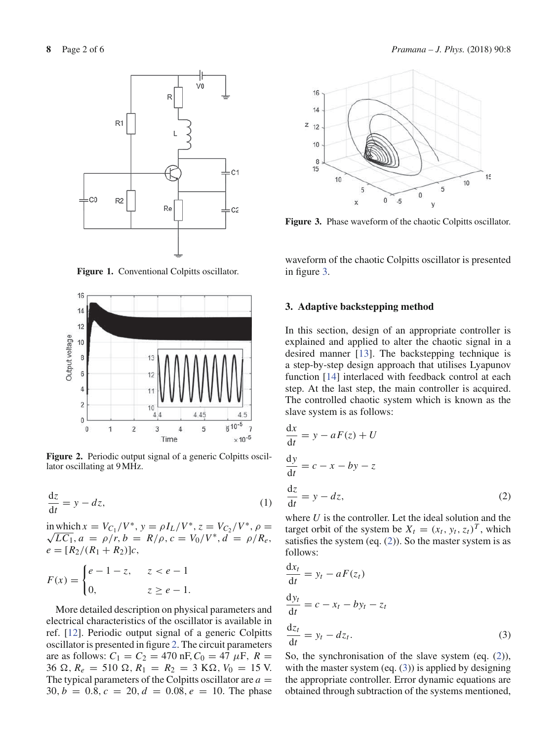

Figure 1. Conventional Colpitts oscillator.



Figure 2. Periodic output signal of a generic Colpitts oscillator oscillating at 9 MHz.

$$
\frac{\mathrm{d}z}{\mathrm{d}t} = y - dz,\tag{1}
$$

in which  $x = V_{C_1}/V^*$ ,  $y = \rho I_L/V^*$ ,  $z = V_{C_2}/V^*$ ,  $\rho =$ <br> $\sqrt{IC_1}$ ,  $a = \rho/r$ ,  $b = R/c$ ,  $c = V_0/V^*$ ,  $d = \rho/R$  $\sqrt{LC_1}$ ,  $a = \rho/r$ ,  $b = R/\rho$ ,  $c = V_0/V^*$ ,  $d = \rho/R_e$ ,  $e = [R_2/(R_1 + R_2)]c$ ,

$$
F(x) = \begin{cases} e - 1 - z, & z < e - 1 \\ 0, & z \ge e - 1. \end{cases}
$$

More detailed description on physical parameters and electrical characteristics of the oscillator is available in ref. [12]. Periodic output signal of a generic Colpitts oscillator is presented in figure 2. The circuit parameters are as follows:  $C_1 = C_2 = 470$  nF,  $C_0 = 47 \mu$ F,  $R =$  $36 \Omega$ ,  $R_e = 510 \Omega$ ,  $R_1 = R_2 = 3 \text{ K}\Omega$ ,  $V_0 = 15 \text{ V}$ . The typical parameters of the Colpitts oscillator are  $a =$  $30, b = 0.8, c = 20, d = 0.08, e = 10$ . The phase



**Figure 3.** Phase waveform of the chaotic Colpitts oscillator.

waveform of the chaotic Colpitts oscillator is presented in figure 3.

# **3. Adaptive backstepping method**

In this section, design of an appropriate controller is explained and applied to alter the chaotic signal in a desired manner [13]. The backstepping technique is a step-by-step design approach that utilises Lyapunov function [14] interlaced with feedback control at each step. At the last step, the main controller is acquired. The controlled chaotic system which is known as the slave system is as follows:

$$
\frac{dx}{dt} = y - aF(z) + U
$$
  
\n
$$
\frac{dy}{dt} = c - x - by - z
$$
  
\n
$$
\frac{dz}{dt} = y - dz,
$$
\n(2)

where *U* is the controller. Let the ideal solution and the target orbit of the system be  $X_t = (x_t, y_t, z_t)^T$ , which satisfies the system (eq.  $(2)$ ). So the master system is as follows:

d*xt*

$$
\frac{dx_t}{dt} = y_t - aF(z_t)
$$
  
\n
$$
\frac{dy_t}{dt} = c - x_t - by_t - z_t
$$
  
\n
$$
\frac{dz_t}{dt} = y_t - dz_t.
$$
\n(3)

So, the synchronisation of the slave system (eq.  $(2)$ ), with the master system (eq.  $(3)$ ) is applied by designing the appropriate controller. Error dynamic equations are obtained through subtraction of the systems mentioned,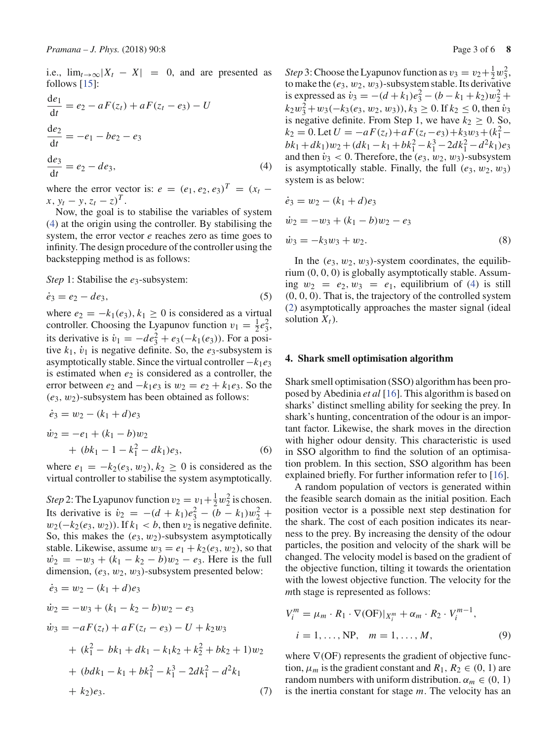i.e.,  $\lim_{t\to\infty} |X_t - X| = 0$ , and are presented as follows [15]:

$$
\frac{de_1}{dt} = e_2 - aF(z_t) + aF(z_t - e_3) - U
$$
  
\n
$$
\frac{de_2}{dt} = -e_1 - be_2 - e_3
$$
  
\n
$$
\frac{de_3}{dt} = e_2 - de_3,
$$
\n(4)

where the error vector is:  $e = (e_1, e_2, e_3)^T = (x_t$  $x, y_t - y, z_t - z)^T$ .

Now, the goal is to stabilise the variables of system (4) at the origin using the controller. By stabilising the system, the error vector *e* reaches zero as time goes to infinity. The design procedure of the controller using the backstepping method is as follows:

*Step* 1: Stabilise the *e*<sub>3</sub>-subsystem:

$$
\dot{e}_3 = e_2 - de_3,\tag{5}
$$

where  $e_2 = -k_1(e_3)$ ,  $k_1 \geq 0$  is considered as a virtual controller. Choosing the Lyapunov function  $v_1 = \frac{1}{2}e_3^2$ , its derivative is  $\dot{v}_1 = -de_3^2 + e_3(-k_1(e_3))$ . For a positive  $k_1$ ,  $\dot{v}_1$  is negative definite. So, the  $e_3$ -subsystem is asymptotically stable. Since the virtual controller −*k*1*e*<sup>3</sup> is estimated when  $e_2$  is considered as a controller, the error between  $e_2$  and  $-k_1e_3$  is  $w_2 = e_2 + k_1e_3$ . So the  $(e_3, w_2)$ -subsystem has been obtained as follows:

$$
\dot{e}_3 = w_2 - (k_1 + d)e_3
$$
  
\n
$$
\dot{w}_2 = -e_1 + (k_1 - b)w_2
$$
  
\n
$$
+ (bk_1 - 1 - k_1^2 - dk_1)e_3,
$$
\n(6)

where  $e_1 = -k_2(e_3, w_2)$ ,  $k_2 \ge 0$  is considered as the virtual controller to stabilise the system asymptotically.

*Step* 2: The Lyapunov function  $v_2 = v_1 + \frac{1}{2}w_2^2$  is chosen. Its derivative is  $\dot{v}_2 = -(d + k_1)e_3^2 - (b - k_1)w_2^2 +$  $w_2(-k_2(e_3, w_2))$ . If  $k_1 < b$ , then  $v_2$  is negative definite. So, this makes the  $(e_3, w_2)$ -subsystem asymptotically stable. Likewise, assume  $w_3 = e_1 + k_2(e_3, w_2)$ , so that  $\dot{w_2} = -w_3 + (k_1 - k_2 - b)w_2 - e_3$ . Here is the full dimension,  $(e_3, w_2, w_3)$ -subsystem presented below:

$$
\dot{e}_3 = w_2 - (k_1 + d)e_3
$$
\n
$$
\dot{w}_2 = -w_3 + (k_1 - k_2 - b)w_2 - e_3
$$
\n
$$
\dot{w}_3 = -aF(z_t) + aF(z_t - e_3) - U + k_2w_3
$$
\n
$$
+ (k_1^2 - bk_1 + dk_1 - k_1k_2 + k_2^2 + bk_2 + 1)w_2
$$
\n
$$
+ (bdk_1 - k_1 + bk_1^2 - k_1^3 - 2dk_1^2 - d^2k_1 + k_2)e_3.
$$
\n(7)

*Step* 3: Choose the Lyapunov function as  $v_3 = v_2 + \frac{1}{2}w_3^2$ , to make the  $(e_3, w_2, w_3)$ -subsystem stable. Its derivative is expressed as  $\dot{v}_3 = -(d + k_1)e_3^2 - (b - k_1 + k_2)w_2^2 +$  $k_2w_3^2 + w_3(-k_3(e_3, w_2, w_3)), k_3 \ge 0$ . If  $k_2 \le 0$ , then  $v_3$ is negative definite. From Step 1, we have  $k_2 \geq 0$ . So,  $k_2 = 0.$  Let  $U = -aF(z_t) + aF(z_t - e_3) + k_3w_3 + (k_1^2$  $b_k + dk_1 w_2 + (dk_1 - k_1 + bk_1^2 - k_1^3 - 2dk_1^2 - d^2k_1)e_3$ and then  $\dot{v}_3 < 0$ . Therefore, the  $(e_3, w_2, w_3)$ -subsystem is asymptotically stable. Finally, the full  $(e_3, w_2, w_3)$ system is as below:

$$
\dot{e}_3 = w_2 - (k_1 + d)e_3
$$
  
\n
$$
\dot{w}_2 = -w_3 + (k_1 - b)w_2 - e_3
$$
  
\n
$$
\dot{w}_3 = -k_3w_3 + w_2.
$$
\n(8)

In the  $(e_3, w_2, w_3)$ -system coordinates, the equilibrium (0, 0, 0) is globally asymptotically stable. Assuming  $w_2 = e_2, w_3 = e_1$ , equilibrium of (4) is still (0, 0, 0). That is, the trajectory of the controlled system (2) asymptotically approaches the master signal (ideal solution  $X_t$ ).

#### **4. Shark smell optimisation algorithm**

Shark smell optimisation (SSO) algorithm has been proposed by Abedinia *et al* [16]. This algorithm is based on sharks' distinct smelling ability for seeking the prey. In shark's hunting, concentration of the odour is an important factor. Likewise, the shark moves in the direction with higher odour density. This characteristic is used in SSO algorithm to find the solution of an optimisation problem. In this section, SSO algorithm has been explained briefly. For further information refer to [16].

A random population of vectors is generated within the feasible search domain as the initial position. Each position vector is a possible next step destination for the shark. The cost of each position indicates its nearness to the prey. By increasing the density of the odour particles, the position and velocity of the shark will be changed. The velocity model is based on the gradient of the objective function, tilting it towards the orientation with the lowest objective function. The velocity for the *m*th stage is represented as follows:

$$
V_i^m = \mu_m \cdot R_1 \cdot \nabla(\text{OF})|_{X_i^m} + \alpha_m \cdot R_2 \cdot V_i^{m-1},
$$
  

$$
i = 1, \dots, \text{NP}, \quad m = 1, \dots, M,
$$
 (9)

where  $\nabla$ (OF) represents the gradient of objective function,  $\mu_m$  is the gradient constant and  $R_1, R_2 \in (0, 1)$  are random numbers with uniform distribution.  $\alpha_m \in (0, 1)$ is the inertia constant for stage *m*. The velocity has an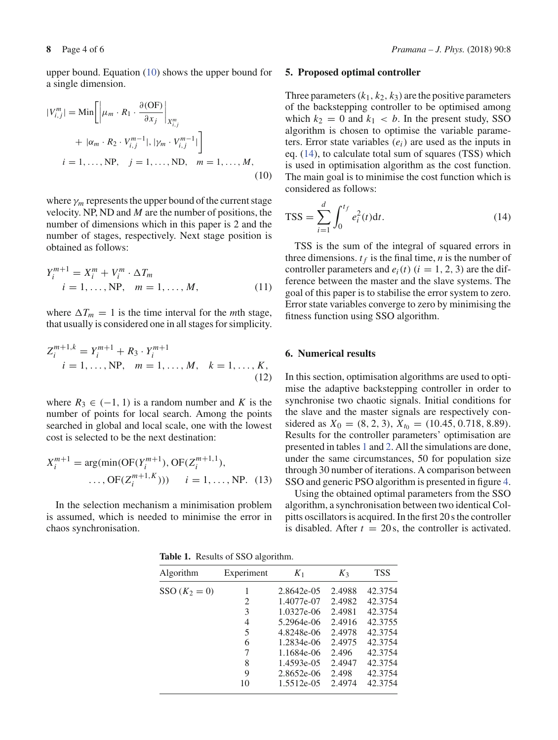$$
|V_{i,j}^m| = \text{Min}\left[\left|\mu_m \cdot R_1 \cdot \frac{\partial(\text{OF})}{\partial x_j}\right|_{X_{i,j}^m} + |\alpha_m \cdot R_2 \cdot V_{i,j}^{m-1}|, |\gamma_m \cdot V_{i,j}^{m-1}| \right]
$$
  

$$
i = 1, \dots, \text{NP}, \quad j = 1, \dots, \text{ND}, \quad m = 1, \dots, M,
$$
  
(10)

where  $\gamma_m$  represents the upper bound of the current stage velocity. NP, ND and *M* are the number of positions, the number of dimensions which in this paper is 2 and the number of stages, respectively. Next stage position is obtained as follows:

$$
Y_i^{m+1} = X_i^m + V_i^m \cdot \Delta T_m
$$
  
\n*i* = 1, ..., NP, *m* = 1, ..., *M*, (11)

where  $\Delta T_m = 1$  is the time interval for the *m*th stage, that usually is considered one in all stages for simplicity.

$$
Z_i^{m+1,k} = Y_i^{m+1} + R_3 \cdot Y_i^{m+1}
$$
  
\n $i = 1, ..., NP, \quad m = 1, ..., M, \quad k = 1, ..., K,$   
\n(12)

where  $R_3 \in (-1, 1)$  is a random number and K is the number of points for local search. Among the points searched in global and local scale, one with the lowest cost is selected to be the next destination:

$$
X_i^{m+1} = \arg(\min(\text{OF}(Y_i^{m+1}), \text{OF}(Z_i^{m+1,1})),
$$
  
..., 
$$
\text{OF}(Z_i^{m+1,K}))) \quad i = 1, ..., \text{NP}.
$$
 (13)

In the selection mechanism a minimisation problem is assumed, which is needed to minimise the error in chaos synchronisation.

#### **5. Proposed optimal controller**

Three parameters  $(k_1, k_2, k_3)$  are the positive parameters of the backstepping controller to be optimised among which  $k_2 = 0$  and  $k_1 < b$ . In the present study, SSO algorithm is chosen to optimise the variable parameters. Error state variables (*ei*) are used as the inputs in eq. (14), to calculate total sum of squares (TSS) which is used in optimisation algorithm as the cost function. The main goal is to minimise the cost function which is considered as follows:

$$
TSS = \sum_{i=1}^{d} \int_{0}^{t_f} e_i^2(t)dt.
$$
 (14)

TSS is the sum of the integral of squared errors in three dimensions.  $t_f$  is the final time, *n* is the number of controller parameters and  $e_i(t)$  ( $i = 1, 2, 3$ ) are the difference between the master and the slave systems. The goal of this paper is to stabilise the error system to zero. Error state variables converge to zero by minimising the fitness function using SSO algorithm.

# **6. Numerical results**

In this section, optimisation algorithms are used to optimise the adaptive backstepping controller in order to synchronise two chaotic signals. Initial conditions for the slave and the master signals are respectively considered as  $X_0 = (8, 2, 3), X_{t_0} = (10.45, 0.718, 8.89).$ Results for the controller parameters' optimisation are presented in tables 1 and 2. All the simulations are done, under the same circumstances, 50 for population size through 30 number of iterations. A comparison between SSO and generic PSO algorithm is presented in figure 4.

Using the obtained optimal parameters from the SSO algorithm, a synchronisation between two identical Colpitts oscillators is acquired. In the first 20 s the controller is disabled. After  $t = 20$  s, the controller is activated.

**Table 1.** Results of SSO algorithm.

| Algorithm       | Experiment | $K_1$      | $K_3$  | <b>TSS</b> |
|-----------------|------------|------------|--------|------------|
| SSO $(K_2 = 0)$ | 1          | 2.8642e-05 | 2.4988 | 42.3754    |
|                 | 2          | 1.4077e-07 | 2.4982 | 42.3754    |
|                 | 3          | 1.0327e-06 | 2.4981 | 42.3754    |
|                 | 4          | 5.2964e-06 | 2.4916 | 42.3755    |
|                 | 5          | 4.8248e-06 | 2.4978 | 42.3754    |
|                 | 6          | 1.2834e-06 | 2.4975 | 42.3754    |
|                 | 7          | 1.1684e-06 | 2.496  | 42.3754    |
|                 | 8          | 1.4593e-05 | 2.4947 | 42.3754    |
|                 | 9          | 2.8652e-06 | 2.498  | 42.3754    |
|                 | 10         | 1.5512e-05 | 2.4974 | 42.3754    |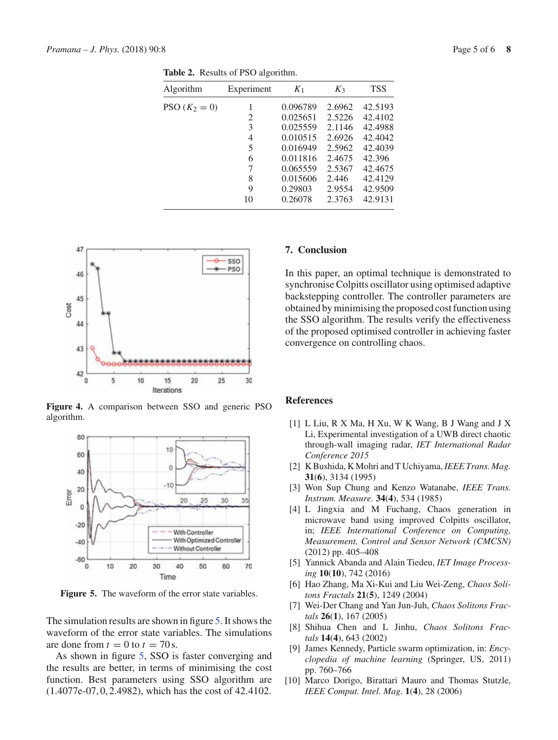| Algorithm       | Experiment | $K_1$    | $K_3$  | <b>TSS</b> |
|-----------------|------------|----------|--------|------------|
| PSO $(K_2 = 0)$ |            | 0.096789 | 2.6962 | 42.5193    |
|                 | 2          | 0.025651 | 2.5226 | 42.4102    |
|                 | 3          | 0.025559 | 2.1146 | 42.4988    |
|                 | 4          | 0.010515 | 2.6926 | 42.4042    |
|                 | 5          | 0.016949 | 2.5962 | 42.4039    |
|                 | 6          | 0.011816 | 2.4675 | 42.396     |
|                 | 7          | 0.065559 | 2.5367 | 42.4675    |
|                 | 8          | 0.015606 | 2.446  | 42.4129    |
|                 | 9          | 0.29803  | 2.9554 | 42.9509    |
|                 | 10         | 0.26078  | 2.3763 | 42.9131    |
|                 |            |          |        |            |

**Table 2.** Results of PSO algorithm.



**Figure 4.** A comparison between SSO and generic PSO algorithm.



**Figure 5.** The waveform of the error state variables.

The simulation results are shown in figure 5. It shows the waveform of the error state variables. The simulations are done from  $t = 0$  to  $t = 70$  s.

As shown in figure 5, SSO is faster converging and the results are better, in terms of minimising the cost function. Best parameters using SSO algorithm are (1.4077e-07, 0, 2.4982), which has the cost of 42.4102.

# **7. Conclusion**

In this paper, an optimal technique is demonstrated to synchronise Colpitts oscillator using optimised adaptive backstepping controller. The controller parameters are obtained by minimising the proposed cost function using the SSO algorithm. The results verify the effectiveness of the proposed optimised controller in achieving faster convergence on controlling chaos.

# **References**

- [1] L Liu, R X Ma, H Xu, W K Wang, B J Wang and J X Li, Experimental investigation of a UWB direct chaotic through-wall imaging radar, *IET International Radar Conference 2015*
- [2] K Bushida, K Mohri and T Uchiyama,*IEEE Trans. Mag.* **31**(**6**), 3134 (1995)
- [3] Won Sup Chung and Kenzo Watanabe, *IEEE Trans. Instrum. Measure.* **34**(**4**), 534 (1985)
- [4] L Jingxia and M Fuchang, Chaos generation in microwave band using improved Colpitts oscillator, in; *IEEE International Conference on Computing, Measurement, Control and Sensor Network (CMCSN)* (2012) pp. 405–408
- [5] Yannick Abanda and Alain Tiedeu, *IET Image Processing* **10**(**10**), 742 (2016)
- [6] Hao Zhang, Ma Xi-Kui and Liu Wei-Zeng, *Chaos Solitons Fractals* **21**(**5**), 1249 (2004)
- [7] Wei-Der Chang and Yan Jun-Juh, *Chaos Solitons Fractals* **26**(**1**), 167 (2005)
- [8] Shihua Chen and L Jinhu, *Chaos Solitons Fractals* **14**(**4**), 643 (2002)
- [9] James Kennedy, Particle swarm optimization, in: *Encyclopedia of machine learning* (Springer, US, 2011) pp. 760–766
- [10] Marco Dorigo, Birattari Mauro and Thomas Stutzle, *IEEE Comput. Intel. Mag*. **1**(**4**), 28 (2006)